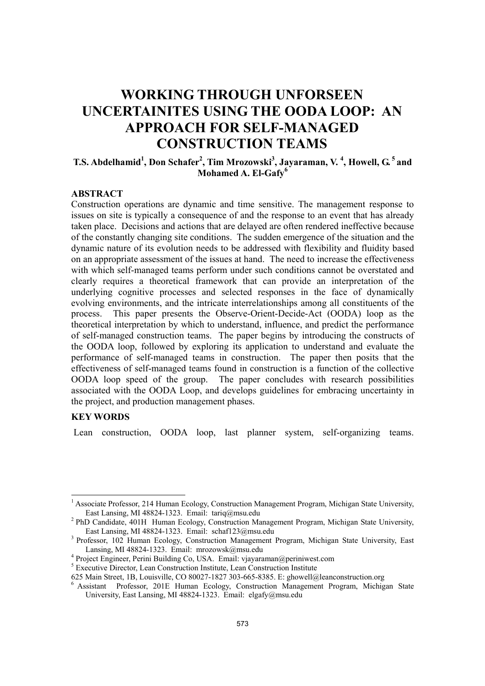# **WORKING THROUGH UNFORSEEN UNCERTAINITES USING THE OODA LOOP: AN APPROACH FOR SELF-MANAGED CONSTRUCTION TEAMS**

## **T.S. Abdelhamid<sup>1</sup>, Don Schafer<sup>2</sup>, Tim Mrozowski<sup>3</sup>, Jayaraman, V.<sup>4</sup>, Howell, G.<sup>5</sup> and Mohamed A. El-Gafy<sup>6</sup>**

### **ABSTRACT**

Construction operations are dynamic and time sensitive. The management response to issues on site is typically a consequence of and the response to an event that has already taken place. Decisions and actions that are delayed are often rendered ineffective because of the constantly changing site conditions. The sudden emergence of the situation and the dynamic nature of its evolution needs to be addressed with flexibility and fluidity based on an appropriate assessment of the issues at hand. The need to increase the effectiveness with which self-managed teams perform under such conditions cannot be overstated and clearly requires a theoretical framework that can provide an interpretation of the underlying cognitive processes and selected responses in the face of dynamically evolving environments, and the intricate interrelationships among all constituents of the process. This paper presents the Observe-Orient-Decide-Act (OODA) loop as the theoretical interpretation by which to understand, influence, and predict the performance of self-managed construction teams. The paper begins by introducing the constructs of the OODA loop, followed by exploring its application to understand and evaluate the performance of self-managed teams in construction. The paper then posits that the effectiveness of self-managed teams found in construction is a function of the collective OODA loop speed of the group. The paper concludes with research possibilities associated with the OODA Loop, and develops guidelines for embracing uncertainty in the project, and production management phases.

#### **KEY WORDS**

Lean construction, OODA loop, last planner system, self-organizing teams.

<sup>&</sup>lt;sup>1</sup> Associate Professor, 214 Human Ecology, Construction Management Program, Michigan State University, East Lansing, MI 48824-1323. Email: tariq@msu.edu 2

<sup>&</sup>lt;sup>2</sup> PhD Candidate, 401H Human Ecology, Construction Management Program, Michigan State University, East Lansing, MI 48824-1323. Email: schaf123@msu.edu

<sup>&</sup>lt;sup>3</sup> Professor, 102 Human Ecology, Construction Management Program, Michigan State University, East Lansing, MI 48824-1323. Email: mrozowsk $@$ msu.edu

Project Engineer, Perini Building Co, USA. Email: vjayaraman@periniwest.com

<sup>&</sup>lt;sup>5</sup> Executive Director, Lean Construction Institute, Lean Construction Institute

<sup>625</sup> Main Street, 1B, Louisville, CO 80027-1827 303-665-8385. E: ghowell@leanconstruction.org

<sup>6</sup> Assistant Professor, 201E Human Ecology, Construction Management Program, Michigan State University, East Lansing, MI 48824-1323. Email: elgafy@msu.edu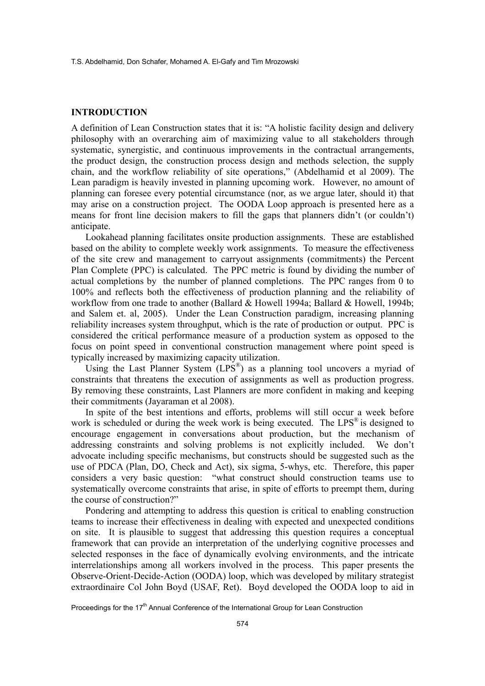#### **INTRODUCTION**

A definition of Lean Construction states that it is: "A holistic facility design and delivery philosophy with an overarching aim of maximizing value to all stakeholders through systematic, synergistic, and continuous improvements in the contractual arrangements, the product design, the construction process design and methods selection, the supply chain, and the workflow reliability of site operations," (Abdelhamid et al 2009). The Lean paradigm is heavily invested in planning upcoming work. However, no amount of planning can foresee every potential circumstance (nor, as we argue later, should it) that may arise on a construction project. The OODA Loop approach is presented here as a means for front line decision makers to fill the gaps that planners didn't (or couldn't) anticipate.

Lookahead planning facilitates onsite production assignments. These are established based on the ability to complete weekly work assignments. To measure the effectiveness of the site crew and management to carryout assignments (commitments) the Percent Plan Complete (PPC) is calculated. The PPC metric is found by dividing the number of actual completions by the number of planned completions. The PPC ranges from 0 to 100% and reflects both the effectiveness of production planning and the reliability of workflow from one trade to another (Ballard & Howell 1994a; Ballard & Howell, 1994b; and Salem et. al, 2005). Under the Lean Construction paradigm, increasing planning reliability increases system throughput, which is the rate of production or output. PPC is considered the critical performance measure of a production system as opposed to the focus on point speed in conventional construction management where point speed is typically increased by maximizing capacity utilization.

Using the Last Planner System  $(LPS^{\circledR})$  as a planning tool uncovers a myriad of constraints that threatens the execution of assignments as well as production progress. By removing these constraints, Last Planners are more confident in making and keeping their commitments (Jayaraman et al 2008).

In spite of the best intentions and efforts, problems will still occur a week before work is scheduled or during the week work is being executed. The  $LPS^{\omega}$  is designed to encourage engagement in conversations about production, but the mechanism of addressing constraints and solving problems is not explicitly included. We don't advocate including specific mechanisms, but constructs should be suggested such as the use of PDCA (Plan, DO, Check and Act), six sigma, 5-whys, etc. Therefore, this paper considers a very basic question: "what construct should construction teams use to systematically overcome constraints that arise, in spite of efforts to preempt them, during the course of construction?"

Pondering and attempting to address this question is critical to enabling construction teams to increase their effectiveness in dealing with expected and unexpected conditions on site. It is plausible to suggest that addressing this question requires a conceptual framework that can provide an interpretation of the underlying cognitive processes and selected responses in the face of dynamically evolving environments, and the intricate interrelationships among all workers involved in the process. This paper presents the Observe-Orient-Decide-Action (OODA) loop, which was developed by military strategist extraordinaire Col John Boyd (USAF, Ret). Boyd developed the OODA loop to aid in

Proceedings for the 17<sup>th</sup> Annual Conference of the International Group for Lean Construction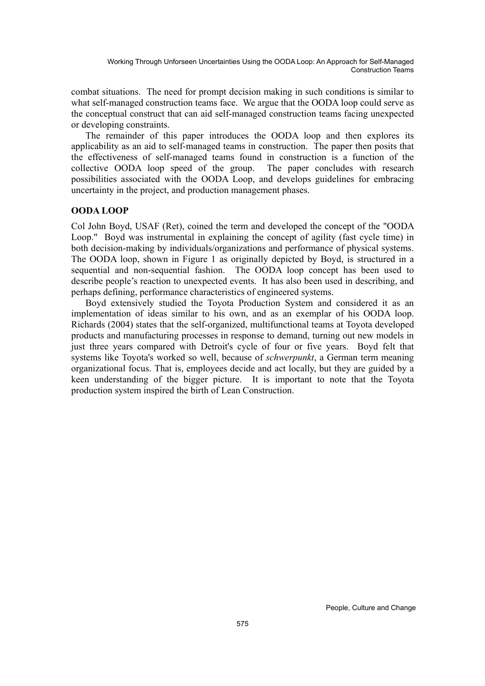combat situations. The need for prompt decision making in such conditions is similar to what self-managed construction teams face. We argue that the OODA loop could serve as the conceptual construct that can aid self-managed construction teams facing unexpected or developing constraints.

The remainder of this paper introduces the OODA loop and then explores its applicability as an aid to self-managed teams in construction. The paper then posits that the effectiveness of self-managed teams found in construction is a function of the collective OODA loop speed of the group. The paper concludes with research possibilities associated with the OODA Loop, and develops guidelines for embracing uncertainty in the project, and production management phases.

#### **OODA LOOP**

Col John Boyd, USAF (Ret), coined the term and developed the concept of the "OODA Loop." Boyd was instrumental in explaining the concept of agility (fast cycle time) in both decision-making by individuals/organizations and performance of physical systems. The OODA loop, shown in Figure 1 as originally depicted by Boyd, is structured in a sequential and non-sequential fashion. The OODA loop concept has been used to describe people's reaction to unexpected events. It has also been used in describing, and perhaps defining, performance characteristics of engineered systems.

Boyd extensively studied the Toyota Production System and considered it as an implementation of ideas similar to his own, and as an exemplar of his OODA loop. Richards (2004) states that the self-organized, multifunctional teams at Toyota developed products and manufacturing processes in response to demand, turning out new models in just three years compared with Detroit's cycle of four or five years. Boyd felt that systems like Toyota's worked so well, because of *schwerpunkt*, a German term meaning organizational focus. That is, employees decide and act locally, but they are guided by a keen understanding of the bigger picture. It is important to note that the Toyota production system inspired the birth of Lean Construction.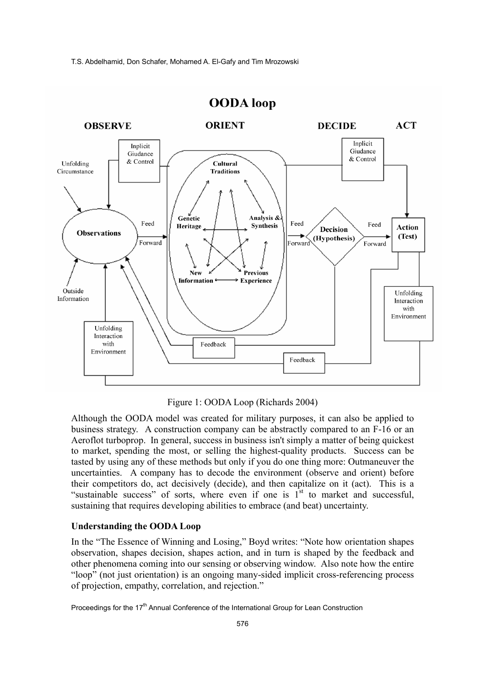

## **OODA** loop

Figure 1: OODA Loop (Richards 2004)

Although the OODA model was created for military purposes, it can also be applied to business strategy.A construction company can be abstractly compared to an F-16 or an Aeroflot turboprop. In general, success in business isn't simply a matter of being quickest to market, spending the most, or selling the highest-quality products. Success can be tasted by using any of these methods but only if you do one thing more: Outmaneuver the uncertainties. A company has to decode the environment (observe and orient) before their competitors do, act decisively (decide), and then capitalize on it (act). This is a "sustainable success" of sorts, where even if one is  $1<sup>st</sup>$  to market and successful, sustaining that requires developing abilities to embrace (and beat) uncertainty.

#### **Understanding the OODA Loop**

In the "The Essence of Winning and Losing," Boyd writes: "Note how orientation shapes observation, shapes decision, shapes action, and in turn is shaped by the feedback and other phenomena coming into our sensing or observing window. Also note how the entire "loop" (not just orientation) is an ongoing many-sided implicit cross-referencing process of projection, empathy, correlation, and rejection."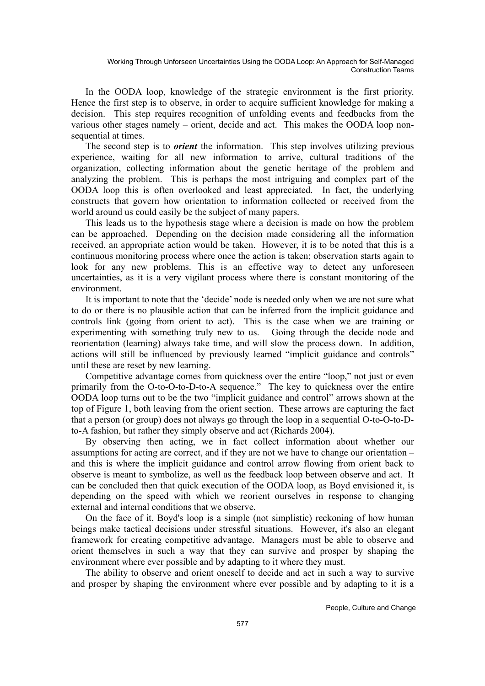In the OODA loop, knowledge of the strategic environment is the first priority. Hence the first step is to observe, in order to acquire sufficient knowledge for making a decision. This step requires recognition of unfolding events and feedbacks from the various other stages namely – orient, decide and act. This makes the OODA loop nonsequential at times.

The second step is to *orient* the information. This step involves utilizing previous experience, waiting for all new information to arrive, cultural traditions of the organization, collecting information about the genetic heritage of the problem and analyzing the problem. This is perhaps the most intriguing and complex part of the OODA loop this is often overlooked and least appreciated. In fact, the underlying constructs that govern how orientation to information collected or received from the world around us could easily be the subject of many papers.

This leads us to the hypothesis stage where a decision is made on how the problem can be approached. Depending on the decision made considering all the information received, an appropriate action would be taken. However, it is to be noted that this is a continuous monitoring process where once the action is taken; observation starts again to look for any new problems. This is an effective way to detect any unforeseen uncertainties, as it is a very vigilant process where there is constant monitoring of the environment.

It is important to note that the 'decide' node is needed only when we are not sure what to do or there is no plausible action that can be inferred from the implicit guidance and controls link (going from orient to act). This is the case when we are training or experimenting with something truly new to us. Going through the decide node and reorientation (learning) always take time, and will slow the process down. In addition, actions will still be influenced by previously learned "implicit guidance and controls" until these are reset by new learning.

Competitive advantage comes from quickness over the entire "loop," not just or even primarily from the O-to-O-to-D-to-A sequence." The key to quickness over the entire OODA loop turns out to be the two "implicit guidance and control" arrows shown at the top of Figure 1, both leaving from the orient section. These arrows are capturing the fact that a person (or group) does not always go through the loop in a sequential O-to-O-to-Dto-A fashion, but rather they simply observe and act (Richards 2004).

By observing then acting, we in fact collect information about whether our assumptions for acting are correct, and if they are not we have to change our orientation – and this is where the implicit guidance and control arrow flowing from orient back to observe is meant to symbolize, as well as the feedback loop between observe and act. It can be concluded then that quick execution of the OODA loop, as Boyd envisioned it, is depending on the speed with which we reorient ourselves in response to changing external and internal conditions that we observe.

On the face of it, Boyd's loop is a simple (not simplistic) reckoning of how human beings make tactical decisions under stressful situations. However, it's also an elegant framework for creating competitive advantage. Managers must be able to observe and orient themselves in such a way that they can survive and prosper by shaping the environment where ever possible and by adapting to it where they must.

The ability to observe and orient oneself to decide and act in such a way to survive and prosper by shaping the environment where ever possible and by adapting to it is a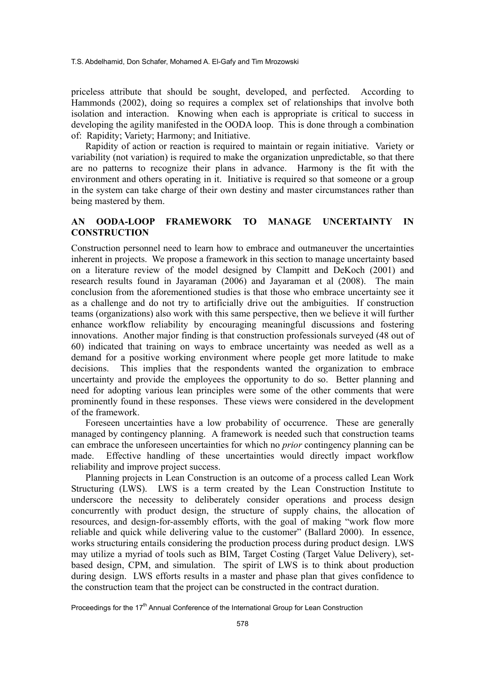T.S. Abdelhamid, Don Schafer, Mohamed A. El-Gafy and Tim Mrozowski

priceless attribute that should be sought, developed, and perfected. According to Hammonds (2002), doing so requires a complex set of relationships that involve both isolation and interaction. Knowing when each is appropriate is critical to success in developing the agility manifested in the OODA loop. This is done through a combination of: Rapidity; Variety; Harmony; and Initiative.

Rapidity of action or reaction is required to maintain or regain initiative. Variety or variability (not variation) is required to make the organization unpredictable, so that there are no patterns to recognize their plans in advance. Harmony is the fit with the environment and others operating in it. Initiative is required so that someone or a group in the system can take charge of their own destiny and master circumstances rather than being mastered by them.

## **AN OODA-LOOP FRAMEWORK TO MANAGE UNCERTAINTY IN CONSTRUCTION**

Construction personnel need to learn how to embrace and outmaneuver the uncertainties inherent in projects. We propose a framework in this section to manage uncertainty based on a literature review of the model designed by Clampitt and DeKoch (2001) and research results found in Jayaraman (2006) and Jayaraman et al (2008). The main conclusion from the aforementioned studies is that those who embrace uncertainty see it as a challenge and do not try to artificially drive out the ambiguities. If construction teams (organizations) also work with this same perspective, then we believe it will further enhance workflow reliability by encouraging meaningful discussions and fostering innovations. Another major finding is that construction professionals surveyed (48 out of 60) indicated that training on ways to embrace uncertainty was needed as well as a demand for a positive working environment where people get more latitude to make decisions. This implies that the respondents wanted the organization to embrace uncertainty and provide the employees the opportunity to do so. Better planning and need for adopting various lean principles were some of the other comments that were prominently found in these responses. These views were considered in the development of the framework.

Foreseen uncertainties have a low probability of occurrence. These are generally managed by contingency planning. A framework is needed such that construction teams can embrace the unforeseen uncertainties for which no *prior* contingency planning can be made. Effective handling of these uncertainties would directly impact workflow reliability and improve project success.

Planning projects in Lean Construction is an outcome of a process called Lean Work Structuring (LWS). LWS is a term created by the Lean Construction Institute to underscore the necessity to deliberately consider operations and process design concurrently with product design, the structure of supply chains, the allocation of resources, and design-for-assembly efforts, with the goal of making "work flow more reliable and quick while delivering value to the customer" (Ballard 2000). In essence, works structuring entails considering the production process during product design. LWS may utilize a myriad of tools such as BIM, Target Costing (Target Value Delivery), setbased design, CPM, and simulation. The spirit of LWS is to think about production during design. LWS efforts results in a master and phase plan that gives confidence to the construction team that the project can be constructed in the contract duration.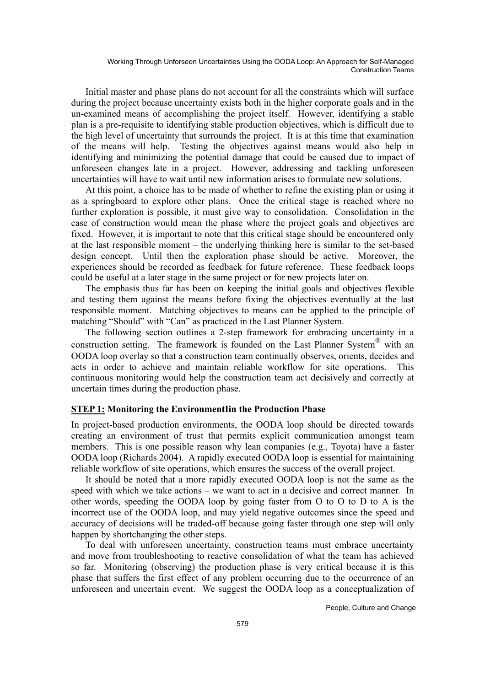Initial master and phase plans do not account for all the constraints which will surface during the project because uncertainty exists both in the higher corporate goals and in the un-examined means of accomplishing the project itself. However, identifying a stable plan is a pre-requisite to identifying stable production objectives, which is difficult due to the high level of uncertainty that surrounds the project. It is at this time that examination of the means will help. Testing the objectives against means would also help in identifying and minimizing the potential damage that could be caused due to impact of unforeseen changes late in a project. However, addressing and tackling unforeseen uncertainties will have to wait until new information arises to formulate new solutions.

At this point, a choice has to be made of whether to refine the existing plan or using it as a springboard to explore other plans. Once the critical stage is reached where no further exploration is possible, it must give way to consolidation. Consolidation in the case of construction would mean the phase where the project goals and objectives are fixed. However, it is important to note that this critical stage should be encountered only at the last responsible moment – the underlying thinking here is similar to the set-based design concept. Until then the exploration phase should be active. Moreover, the experiences should be recorded as feedback for future reference. These feedback loops could be useful at a later stage in the same project or for new projects later on.

The emphasis thus far has been on keeping the initial goals and objectives flexible and testing them against the means before fixing the objectives eventually at the last responsible moment. Matching objectives to means can be applied to the principle of matching "Should" with "Can" as practiced in the Last Planner System.

The following section outlines a 2-step framework for embracing uncertainty in a construction setting. The framework is founded on the Last Planner System® with an OODA loop overlay so that a construction team continually observes, orients, decides and acts in order to achieve and maintain reliable workflow for site operations. This continuous monitoring would help the construction team act decisively and correctly at uncertain times during the production phase.

#### **STEP 1: Monitoring the EnvironmentIin the Production Phase**

In project-based production environments, the OODA loop should be directed towards creating an environment of trust that permits explicit communication amongst team members. This is one possible reason why lean companies (e.g., Toyota) have a faster OODA loop (Richards 2004). A rapidly executed OODA loop is essential for maintaining reliable workflow of site operations, which ensures the success of the overall project.

It should be noted that a more rapidly executed OODA loop is not the same as the speed with which we take actions – we want to act in a decisive and correct manner. In other words, speeding the OODA loop by going faster from O to O to D to A is the incorrect use of the OODA loop, and may yield negative outcomes since the speed and accuracy of decisions will be traded-off because going faster through one step will only happen by shortchanging the other steps.

To deal with unforeseen uncertainty, construction teams must embrace uncertainty and move from troubleshooting to reactive consolidation of what the team has achieved so far. Monitoring (observing) the production phase is very critical because it is this phase that suffers the first effect of any problem occurring due to the occurrence of an unforeseen and uncertain event. We suggest the OODA loop as a conceptualization of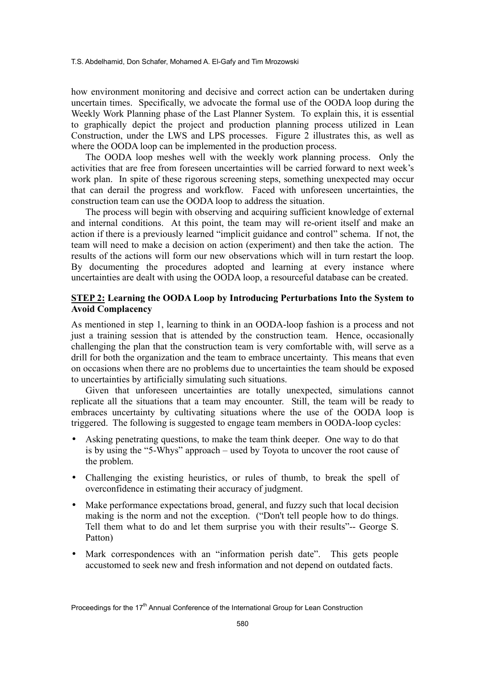T.S. Abdelhamid, Don Schafer, Mohamed A. El-Gafy and Tim Mrozowski

how environment monitoring and decisive and correct action can be undertaken during uncertain times. Specifically, we advocate the formal use of the OODA loop during the Weekly Work Planning phase of the Last Planner System. To explain this, it is essential to graphically depict the project and production planning process utilized in Lean Construction, under the LWS and LPS processes. Figure 2 illustrates this, as well as where the OODA loop can be implemented in the production process.

The OODA loop meshes well with the weekly work planning process. Only the activities that are free from foreseen uncertainties will be carried forward to next week's work plan. In spite of these rigorous screening steps, something unexpected may occur that can derail the progress and workflow. Faced with unforeseen uncertainties, the construction team can use the OODA loop to address the situation.

The process will begin with observing and acquiring sufficient knowledge of external and internal conditions. At this point, the team may will re-orient itself and make an action if there is a previously learned "implicit guidance and control" schema. If not, the team will need to make a decision on action (experiment) and then take the action. The results of the actions will form our new observations which will in turn restart the loop. By documenting the procedures adopted and learning at every instance where uncertainties are dealt with using the OODA loop, a resourceful database can be created.

#### **STEP 2: Learning the OODA Loop by Introducing Perturbations Into the System to Avoid Complacency**

As mentioned in step 1, learning to think in an OODA-loop fashion is a process and not just a training session that is attended by the construction team. Hence, occasionally challenging the plan that the construction team is very comfortable with, will serve as a drill for both the organization and the team to embrace uncertainty. This means that even on occasions when there are no problems due to uncertainties the team should be exposed to uncertainties by artificially simulating such situations.

Given that unforeseen uncertainties are totally unexpected, simulations cannot replicate all the situations that a team may encounter. Still, the team will be ready to embraces uncertainty by cultivating situations where the use of the OODA loop is triggered. The following is suggested to engage team members in OODA-loop cycles:

- Asking penetrating questions, to make the team think deeper. One way to do that is by using the "5-Whys" approach – used by Toyota to uncover the root cause of the problem.
- Challenging the existing heuristics, or rules of thumb, to break the spell of overconfidence in estimating their accuracy of judgment.
- Make performance expectations broad, general, and fuzzy such that local decision making is the norm and not the exception. ("Don't tell people how to do things. Tell them what to do and let them surprise you with their results"-- George S. Patton)
- Mark correspondences with an "information perish date". This gets people accustomed to seek new and fresh information and not depend on outdated facts.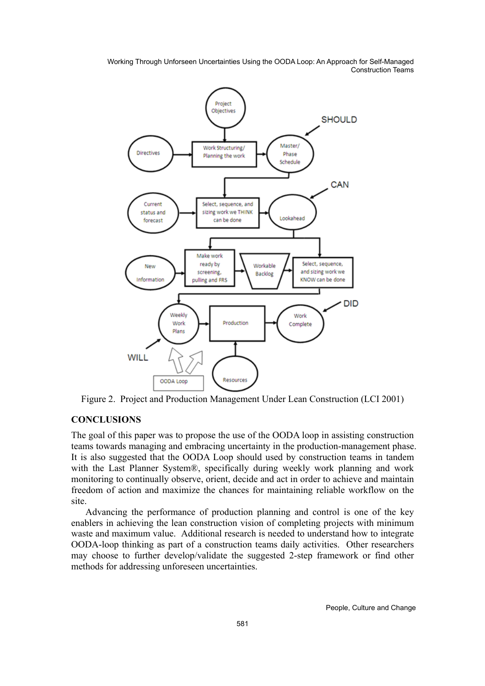

Figure 2. Project and Production Management Under Lean Construction (LCI 2001)

#### **CONCLUSIONS**

The goal of this paper was to propose the use of the OODA loop in assisting construction teams towards managing and embracing uncertainty in the production-management phase. It is also suggested that the OODA Loop should used by construction teams in tandem with the Last Planner System®, specifically during weekly work planning and work monitoring to continually observe, orient, decide and act in order to achieve and maintain freedom of action and maximize the chances for maintaining reliable workflow on the site.

Advancing the performance of production planning and control is one of the key enablers in achieving the lean construction vision of completing projects with minimum waste and maximum value. Additional research is needed to understand how to integrate OODA-loop thinking as part of a construction teams daily activities. Other researchers may choose to further develop/validate the suggested 2-step framework or find other methods for addressing unforeseen uncertainties.